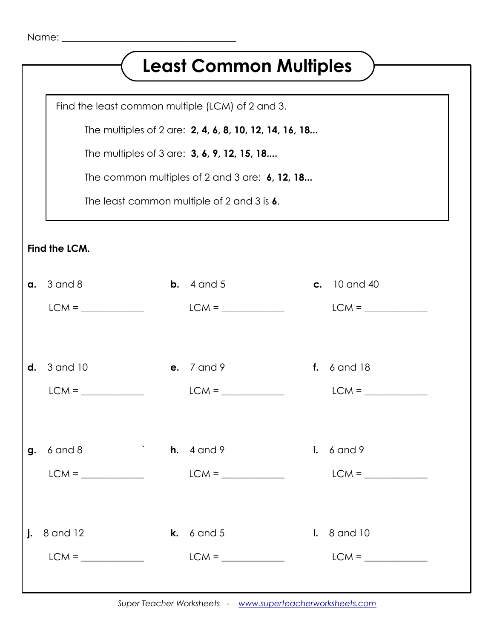## **Least Common Multiples**

Find the least common multiple (LCM) of 2 and 3.

The multiples of 2 are: **2, 4, 6, 8, 10, 12, 14, 16, 18...**

The multiples of 3 are: **3, 6, 9, 12, 15, 18....**

The common multiples of 2 and 3 are: **6, 12, 18...**

The least common multiple of 2 and 3 is **6**.

**Find the LCM.**

| $a. 3$ and $8$                      | <b>b.</b> $4$ and $5$                                                                                                                                                                                                                                                                                                                                                                                                                                                                                                                                                                                                             | <b>c.</b> 10 and 40    |
|-------------------------------------|-----------------------------------------------------------------------------------------------------------------------------------------------------------------------------------------------------------------------------------------------------------------------------------------------------------------------------------------------------------------------------------------------------------------------------------------------------------------------------------------------------------------------------------------------------------------------------------------------------------------------------------|------------------------|
|                                     |                                                                                                                                                                                                                                                                                                                                                                                                                                                                                                                                                                                                                                   |                        |
|                                     |                                                                                                                                                                                                                                                                                                                                                                                                                                                                                                                                                                                                                                   |                        |
|                                     |                                                                                                                                                                                                                                                                                                                                                                                                                                                                                                                                                                                                                                   |                        |
| $d. 3$ and $10$                     | <b>e.</b> 7 and 9                                                                                                                                                                                                                                                                                                                                                                                                                                                                                                                                                                                                                 | <b>f.</b> 6 and 18     |
|                                     |                                                                                                                                                                                                                                                                                                                                                                                                                                                                                                                                                                                                                                   |                        |
|                                     |                                                                                                                                                                                                                                                                                                                                                                                                                                                                                                                                                                                                                                   |                        |
|                                     |                                                                                                                                                                                                                                                                                                                                                                                                                                                                                                                                                                                                                                   |                        |
| <b>g.</b> 6 and 8 <b>h.</b> 4 and 9 |                                                                                                                                                                                                                                                                                                                                                                                                                                                                                                                                                                                                                                   | $i. 6$ and 9           |
|                                     |                                                                                                                                                                                                                                                                                                                                                                                                                                                                                                                                                                                                                                   |                        |
|                                     |                                                                                                                                                                                                                                                                                                                                                                                                                                                                                                                                                                                                                                   |                        |
|                                     |                                                                                                                                                                                                                                                                                                                                                                                                                                                                                                                                                                                                                                   |                        |
| $j. 8$ and 12                       | <b>k.</b> $6$ and $5$                                                                                                                                                                                                                                                                                                                                                                                                                                                                                                                                                                                                             | $\mathsf{I.}$ 8 and 10 |
|                                     | $LCM = \underline{\hspace{2cm}} \underline{\hspace{2cm}} \underline{\hspace{2cm}} \underline{\hspace{2cm}} \underline{\hspace{2cm}} \underline{\hspace{2cm}} \underline{\hspace{2cm}} \underline{\hspace{2cm}} \underline{\hspace{2cm}} \underline{\hspace{2cm}} \underline{\hspace{2cm}} \underline{\hspace{2cm}} \underline{\hspace{2cm}} \underline{\hspace{2cm}} \underline{\hspace{2cm}} \underline{\hspace{2cm}} \underline{\hspace{2cm}} \underline{\hspace{2cm}} \underline{\hspace{2cm}} \underline{\hspace{2cm}} \underline{\hspace{2cm}} \underline{\hspace{2cm}} \underline{\hspace{2cm}} \underline{\hspace{2cm}} \$ |                        |
|                                     |                                                                                                                                                                                                                                                                                                                                                                                                                                                                                                                                                                                                                                   |                        |